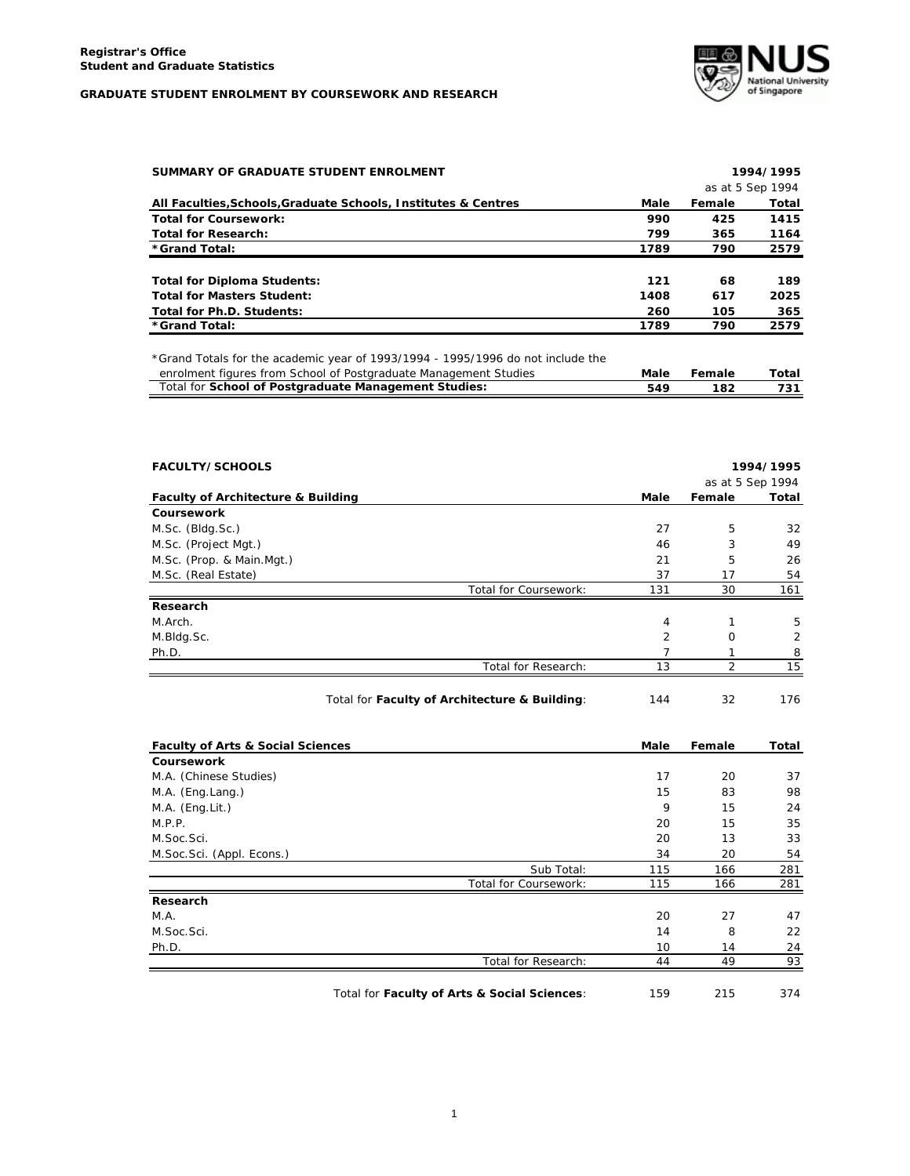

| SUMMARY OF GRADUATE STUDENT ENROLMENT                          | 1994/1995        |        |       |
|----------------------------------------------------------------|------------------|--------|-------|
|                                                                | as at 5 Sep 1994 |        |       |
| All Faculties, Schools, Graduate Schools, Institutes & Centres | Male             | Female | Total |
| <b>Total for Coursework:</b>                                   | 990              | 425    | 1415  |
| <b>Total for Research:</b>                                     | 799              | 365    | 1164  |
| *Grand Total:                                                  | 1789             | 790    | 2579  |
| <b>Total for Diploma Students:</b>                             | 121              | 68     | 189   |
| <b>Total for Masters Student:</b>                              | 1408             | 617    | 2025  |
| Total for Ph.D. Students:                                      | 260              | 105    | 365   |
| *Grand Total:                                                  | 1789             | 790    | 2579  |

*\*Grand Totals for the academic year of 1993/1994 - 1995/1996 do not include the*

| enrolment figures from School of Postgraduate Management Studies | Male | <b>Female</b> | Total |
|------------------------------------------------------------------|------|---------------|-------|
| Total for School of Postgraduate Management Studies:             | 549  | 182           |       |

| <b>FACULTY/SCHOOLS</b>                        |                                               |                |                  | 1994/1995  |
|-----------------------------------------------|-----------------------------------------------|----------------|------------------|------------|
|                                               |                                               |                | as at 5 Sep 1994 |            |
| <b>Faculty of Architecture &amp; Building</b> |                                               | Male           | Female           | Total      |
| Coursework                                    |                                               |                |                  |            |
| M.Sc. (Bldg.Sc.)                              |                                               | 27             | 5                | 32         |
| M.Sc. (Project Mgt.)                          |                                               | 46             | 3                | 49         |
| M.Sc. (Prop. & Main.Mgt.)                     |                                               | 21             | 5                | 26         |
| M.Sc. (Real Estate)                           |                                               | 37             | 17               | 54         |
|                                               | Total for Coursework:                         | 131            | 30               | 161        |
| Research                                      |                                               |                |                  |            |
| M.Arch.                                       |                                               | 4              | 1                | 5          |
| M.Bldg.Sc.                                    |                                               | 2              | 0                | 2          |
| Ph.D.                                         |                                               | $\overline{7}$ | 1                | 8          |
|                                               | Total for Research:                           | 13             | 2                | 15         |
|                                               | Total for Faculty of Architecture & Building: | 144            | 32               | 176        |
| <b>Faculty of Arts &amp; Social Sciences</b>  |                                               | Male           | Female           | Total      |
| Coursework                                    |                                               |                |                  |            |
| M.A. (Chinese Studies)                        |                                               | 17             | 20               | 37         |
| M.A. (Eng.Lang.)                              |                                               | 15             | 83               | 98         |
| M.A. (Eng.Lit.)                               |                                               | 9              | 15               | 24         |
| M.P.P.                                        |                                               | 20             | 15               | 35         |
| M.Soc.Sci.                                    |                                               | 20             | 13               | 33         |
| M.Soc.Sci. (Appl. Econs.)                     |                                               | 34             | 20               | 54         |
|                                               | Sub Total:                                    | 115            | 166              | 281        |
|                                               | Total for Coursework:                         | 115            | 166              | <u>281</u> |
| Research                                      |                                               |                |                  |            |
| M.A.                                          |                                               | 20             | 27               | 47         |
| M.Soc.Sci.                                    |                                               | 14             | 8                | 22         |
| Ph.D.                                         |                                               | 10             | 14               | 24         |
|                                               | Total for Research:                           | 44             | 49               | 93         |
|                                               | Total for Faculty of Arts & Social Sciences:  | 159            | 215              | 374        |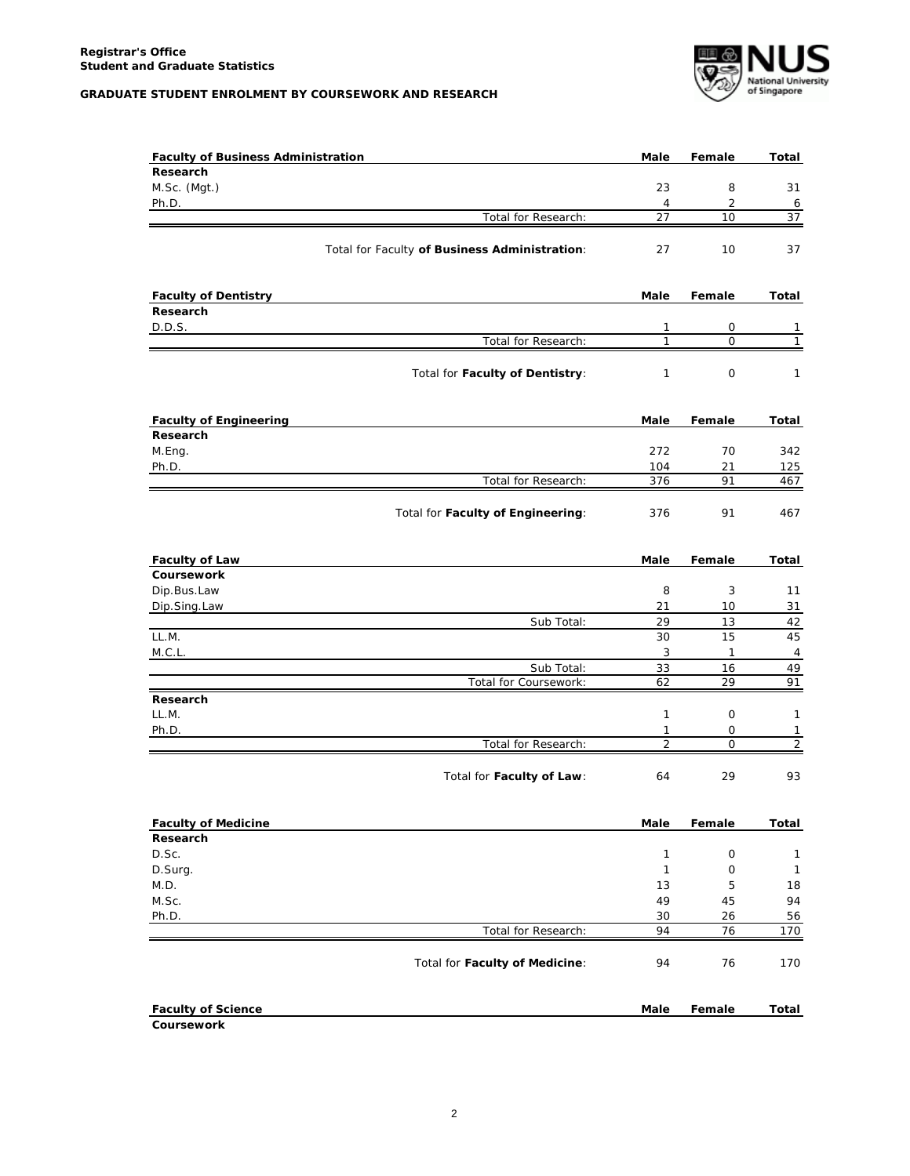

| <b>Faculty of Business Administration</b> |                                               | Male           | Female             | Total                |
|-------------------------------------------|-----------------------------------------------|----------------|--------------------|----------------------|
| Research                                  |                                               |                |                    |                      |
| M.Sc. (Mgt.)                              |                                               | 23             | 8                  | 31                   |
| Ph.D.                                     |                                               | 4              | 2                  | 6                    |
|                                           | Total for Research:                           | 27             | 10                 | 37                   |
|                                           | Total for Faculty of Business Administration: | 27             | 10                 | 37                   |
| <b>Faculty of Dentistry</b>               |                                               | Male           | Female             | Total                |
| Research                                  |                                               |                |                    |                      |
| D.D.S.                                    |                                               | 1              | 0                  | 1                    |
|                                           | Total for Research:                           | 1              | $\mathbf{O}$       | $\mathbf{1}$         |
|                                           | Total for Faculty of Dentistry:               | 1              | 0                  | 1                    |
| <b>Faculty of Engineering</b>             |                                               | Male           | Female             | Total                |
| Research                                  |                                               |                |                    |                      |
| M.Eng.                                    |                                               | 272            | 70                 | 342                  |
| Ph.D.                                     | Total for Research:                           | 104<br>376     | 21<br>91           | 125                  |
|                                           |                                               |                |                    | 467                  |
|                                           | Total for Faculty of Engineering:             | 376            | 91                 | 467                  |
| <b>Faculty of Law</b>                     |                                               | Male           | Female             | Total                |
| Coursework                                |                                               |                |                    |                      |
| Dip.Bus.Law                               |                                               | 8              | 3                  | 11                   |
| Dip.Sing.Law                              |                                               | 21             | 10                 | 31                   |
|                                           | Sub Total:                                    | 29             | 13                 | 42                   |
| LL.M.<br>M.C.L.                           |                                               | 30<br>3        | 15<br>$\mathbf{1}$ | 45<br>$\overline{4}$ |
|                                           | Sub Total:                                    | 33             | 16                 | 49                   |
|                                           | Total for Coursework:                         | 62             | 29                 | 91                   |
| Research                                  |                                               |                |                    |                      |
| LL.M.                                     |                                               | $\mathbf{1}$   | $\mathbf 0$        | $\mathbf{1}$         |
| Ph.D.                                     |                                               | 1              | 0                  | 1                    |
|                                           | Total for Research:                           | $\overline{2}$ | $\Omega$           | $\overline{c}$       |
|                                           | Total for Faculty of Law:                     | 64             | 29                 | 93                   |
| <b>Faculty of Medicine</b>                |                                               | <b>Male</b>    | Female             | Total                |
| Research                                  |                                               |                |                    |                      |
| D.Sc.                                     |                                               | 1              | 0                  | 1                    |
| D.Surg.                                   |                                               | $\mathbf{1}$   | $\mathsf O$        | $\mathbf{1}$         |
| M.D.                                      |                                               | 13             | 5                  | 18                   |
| M.Sc.                                     |                                               | 49             | 45                 | 94                   |
| Ph.D.                                     | Total for Research:                           | 30<br>94       | 26<br>76           | 56<br>170            |
|                                           |                                               |                |                    |                      |
|                                           | Total for Faculty of Medicine:                | 94             | 76                 | 170                  |
| <b>Faculty of Science</b>                 |                                               | Male           | Female             | <b>Total</b>         |
| Coursework                                |                                               |                |                    |                      |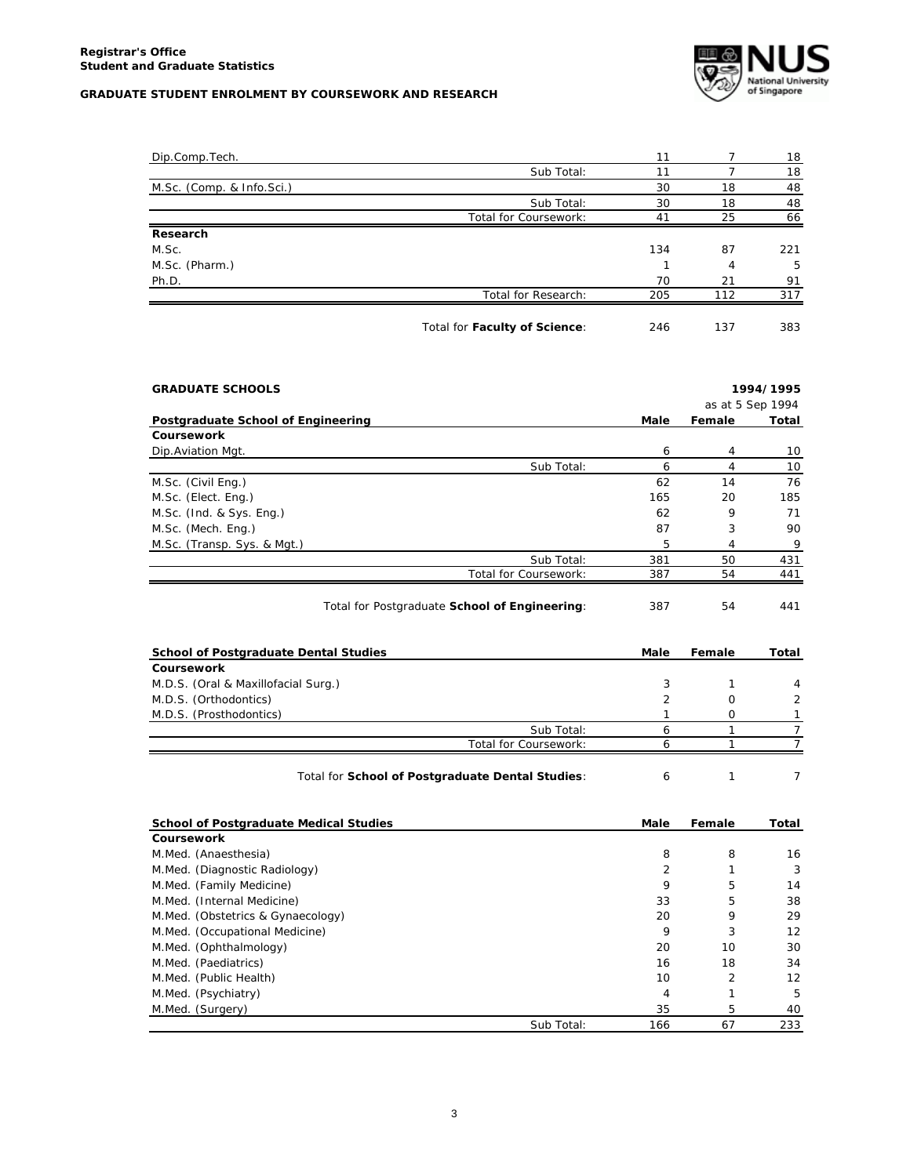

| Dip.Comp.Tech.<br>Sub Total:                            | 11<br>11       | 7<br>$\overline{7}$ | 18<br>18         |
|---------------------------------------------------------|----------------|---------------------|------------------|
| M.Sc. (Comp. & Info.Sci.)                               | 30             | 18                  | 48               |
| Sub Total:                                              | 30             | 18                  | 48               |
| Total for Coursework:                                   | 41             | 25                  | 66               |
| Research                                                |                |                     |                  |
| M.Sc.                                                   | 134            | 87                  | 221              |
| M.Sc. (Pharm.)                                          | 1              | $\overline{4}$      | 5                |
| Ph.D.                                                   | 70             | 21                  | 91               |
| Total for Research:                                     | 205            | 112                 | 317              |
| Total for Faculty of Science:                           | 246            | 137                 | 383              |
|                                                         |                |                     |                  |
| <b>GRADUATE SCHOOLS</b>                                 |                |                     | 1994/1995        |
|                                                         |                |                     | as at 5 Sep 1994 |
| <b>Postgraduate School of Engineering</b><br>Coursework | Male           | Female              | Total            |
| Dip.Aviation Mgt.                                       | 6              | 4                   | 10               |
| Sub Total:                                              | 6              | $\overline{4}$      | 10               |
| M.Sc. (Civil Eng.)                                      | 62             | 14                  | 76               |
| M.Sc. (Elect. Eng.)                                     | 165            | 20                  | 185              |
| M.Sc. (Ind. & Sys. Eng.)                                | 62             | 9                   | 71               |
| M.Sc. (Mech. Eng.)                                      | 87             | 3                   | 90               |
| M.Sc. (Transp. Sys. & Mgt.)                             | 5              | $\overline{4}$      | 9                |
| Sub Total:                                              | 381            | 50                  | 431              |
| Total for Coursework:                                   | 387            | 54                  | 441              |
| Total for Postgraduate School of Engineering:           | 387            | 54                  | 441              |
| <b>School of Postgraduate Dental Studies</b>            | Male           | Female              | Total            |
| Coursework                                              |                |                     |                  |
| M.D.S. (Oral & Maxillofacial Surg.)                     | 3              | 1                   | 4                |
| M.D.S. (Orthodontics)                                   | $\overline{2}$ | 0                   | $\overline{2}$   |
| M.D.S. (Prosthodontics)                                 | 1              | 0                   | $\mathbf{1}$     |
| Sub Total:                                              | 6              | 1                   | 7                |
| Total for Coursework:                                   | 6              | $\mathbf{1}$        | $\overline{7}$   |
| Total for School of Postgraduate Dental Studies:        | 6              | $\mathbf{1}$        | $\overline{7}$   |
| <b>School of Postgraduate Medical Studies</b>           | Male           | Female              | Total            |

| <b>Coursework</b>                 |            |     |    |     |
|-----------------------------------|------------|-----|----|-----|
| M.Med. (Anaesthesia)              |            | 8   | 8  | 16  |
| M.Med. (Diagnostic Radiology)     |            | 2   |    | 3   |
| M.Med. (Family Medicine)          |            | 9   | 5  | 14  |
| M.Med. (Internal Medicine)        |            | 33  | 5  | 38  |
| M.Med. (Obstetrics & Gynaecology) |            | 20  | 9  | 29  |
| M.Med. (Occupational Medicine)    |            | 9   | 3  | 12  |
| M.Med. (Ophthalmology)            |            | 20  | 10 | 30  |
| M.Med. (Paediatrics)              |            | 16  | 18 | 34  |
| M.Med. (Public Health)            |            | 10  | 2  | 12  |
| M.Med. (Psychiatry)               |            | 4   |    | 5   |
| M.Med. (Surgery)                  |            | 35  | 5  | 40  |
|                                   | Sub Total: | 166 | 67 | 233 |